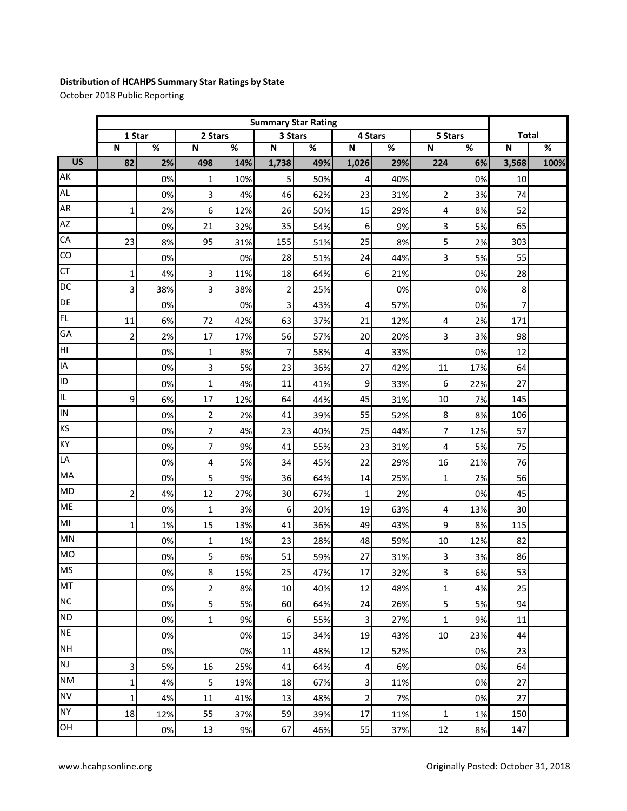## **Distribution of HCAHPS Summary Star Ratings by State**

October 2018 Public Reporting

|                 | <b>Summary Star Rating</b> |                          |                         |      |                |      |                |      |                |      |                |      |
|-----------------|----------------------------|--------------------------|-------------------------|------|----------------|------|----------------|------|----------------|------|----------------|------|
|                 | 1 Star                     |                          | 2 Stars                 |      | 3 Stars        |      | 4 Stars        |      | 5 Stars        |      | <b>Total</b>   |      |
|                 | $\mathbf N$                | $\overline{\mathcal{C}}$ | $\mathbf N$             | $\%$ | $\mathbf N$    | $\%$ | $\mathsf{N}$   | $\%$ | ${\sf N}$      | $\%$ | $\mathsf N$    | $\%$ |
| $\overline{US}$ | 82                         | 2%                       | 498                     | 14%  | 1,738          | 49%  | 1,026          | 29%  | 224            | 6%   | 3,568          | 100% |
| AK              |                            | 0%                       | 1                       | 10%  | 5              | 50%  | 4              | 40%  |                | 0%   | 10             |      |
| <b>AL</b>       |                            | 0%                       | 3                       | 4%   | 46             | 62%  | 23             | 31%  | 2              | 3%   | 74             |      |
| AR              | $\mathbf{1}$               | 2%                       | 6                       | 12%  | 26             | 50%  | 15             | 29%  | 4              | 8%   | 52             |      |
| AZ              |                            | 0%                       | 21                      | 32%  | 35             | 54%  | 6              | 9%   | 3              | 5%   | 65             |      |
| CA              | 23                         | 8%                       | 95                      | 31%  | 155            | 51%  | 25             | 8%   | 5              | 2%   | 303            |      |
| $\overline{c}$  |                            | 0%                       |                         | 0%   | 28             | 51%  | 24             | 44%  | 3              | 5%   | 55             |      |
| <b>CT</b>       | $\mathbf{1}$               | 4%                       | 3                       | 11%  | 18             | 64%  | 6              | 21%  |                | 0%   | 28             |      |
| DC              | 3                          | 38%                      | 3                       | 38%  | $\overline{2}$ | 25%  |                | 0%   |                | 0%   | 8              |      |
| DE              |                            | 0%                       |                         | 0%   | 3              | 43%  | 4              | 57%  |                | 0%   | $\overline{7}$ |      |
| FL              | 11                         | 6%                       | 72                      | 42%  | 63             | 37%  | 21             | 12%  | 4              | 2%   | 171            |      |
| GA              | $\overline{2}$             | 2%                       | 17                      | 17%  | 56             | 57%  | 20             | 20%  | 3              | 3%   | 98             |      |
| НI              |                            | 0%                       | $\mathbf 1$             | 8%   | $\overline{7}$ | 58%  | $\overline{4}$ | 33%  |                | 0%   | 12             |      |
| IA              |                            | 0%                       | 3                       | 5%   | 23             | 36%  | 27             | 42%  | 11             | 17%  | 64             |      |
| ID              |                            | 0%                       | 1                       | 4%   | 11             | 41%  | 9              | 33%  | 6              | 22%  | 27             |      |
| IL              | 9                          | 6%                       | 17                      | 12%  | 64             | 44%  | 45             | 31%  | 10             | 7%   | 145            |      |
| IN              |                            | 0%                       | $\overline{\mathbf{c}}$ | 2%   | 41             | 39%  | 55             | 52%  | 8              | 8%   | 106            |      |
| KS              |                            | 0%                       | $\overline{c}$          | 4%   | 23             | 40%  | 25             | 44%  | 7              | 12%  | 57             |      |
| KY              |                            | 0%                       | $\overline{7}$          | 9%   | 41             | 55%  | 23             | 31%  | 4              | 5%   | 75             |      |
| LA              |                            | 0%                       | 4                       | 5%   | 34             | 45%  | 22             | 29%  | 16             | 21%  | 76             |      |
| MA              |                            | 0%                       | 5                       | 9%   | 36             | 64%  | 14             | 25%  | $\mathbf 1$    | 2%   | 56             |      |
| <b>MD</b>       | $\overline{2}$             | 4%                       | 12                      | 27%  | 30             | 67%  | $\mathbf 1$    | 2%   |                | 0%   | 45             |      |
| <b>ME</b>       |                            | 0%                       | $\mathbf 1$             | 3%   | 6              | 20%  | 19             | 63%  | 4              | 13%  | 30             |      |
| MI              | $\mathbf{1}$               | 1%                       | 15                      | 13%  | 41             | 36%  | 49             | 43%  | 9              | 8%   | 115            |      |
| <b>MN</b>       |                            | 0%                       | $\mathbf 1$             | 1%   | 23             | 28%  | 48             | 59%  | 10             | 12%  | 82             |      |
| <b>MO</b>       |                            | 0%                       | 5                       | 6%   | 51             | 59%  | 27             | 31%  | 3              | 3%   | 86             |      |
| <b>MS</b>       |                            | 0%                       | $\bf{8}$                | 15%  | 25             | 47%  | 17             | 32%  | 3              | 6%   | 53             |      |
| MT              |                            | 0%                       | 2                       | 8%   | 10             | 40%  | 12             | 48%  | $\mathbf{1}$   | 4%   | 25             |      |
| <b>NC</b>       |                            | 0%                       | 5                       | 5%   | 60             | 64%  | 24             | 26%  | 5 <sup>1</sup> | 5%   | 94             |      |
| <b>ND</b>       |                            | 0%                       | 1                       | 9%   | $6\,$          | 55%  | $\overline{3}$ | 27%  | $\mathbf 1$    | 9%   | 11             |      |
| <b>NE</b>       |                            | 0%                       |                         | 0%   | 15             | 34%  | 19             | 43%  | 10             | 23%  | 44             |      |
| <b>NH</b>       |                            | 0%                       |                         | 0%   | 11             | 48%  | 12             | 52%  |                | 0%   | 23             |      |
| <b>NJ</b>       | 3                          | 5%                       | 16                      | 25%  | 41             | 64%  | 4              | 6%   |                | 0%   | 64             |      |
| <b>NM</b>       | 1                          | 4%                       | 5                       | 19%  | 18             | 67%  | $\overline{3}$ | 11%  |                | 0%   | 27             |      |
| <b>NV</b>       | $\mathbf 1$                | 4%                       | 11                      | 41%  | 13             | 48%  | $\overline{2}$ | 7%   |                | 0%   | 27             |      |
| <b>NY</b>       | 18                         | 12%                      | 55                      | 37%  | 59             | 39%  | 17             | 11%  | 1              | 1%   | 150            |      |
| OH              |                            | 0%                       | 13                      | 9%   | 67             | 46%  | 55             | 37%  | 12             | 8%   | 147            |      |